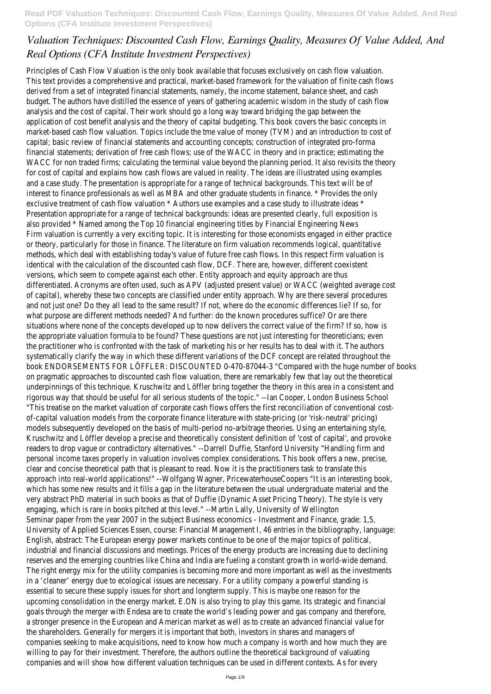# *Valuation Techniques: Discounted Cash Flow, Earnings Quality, Measures Of Value Added, And Real Options (CFA Institute Investment Perspectives)*

Principles of Cash Flow Valuation is the only book available that focuses exclusively on cash flow valuation. This text provides a comprehensive and practical, market-based framework for the valuation of finite cash flows derived from a set of integrated financial statements, namely, the income statement, balance sheet, and cash budget. The authors have distilled the essence of years of gathering academic wisdom in the study of cash flow analysis and the cost of capital. Their work should go a long way toward bridging the gap between the application of cost benefit analysis and the theory of capital budgeting. This book covers the basic concepts in market-based cash flow valuation. Topics include the tme value of money (TVM) and an introduction to cost of capital; basic review of financial statements and accounting concepts; construction of integrated pro-forma financial statements; derivation of free cash flows; use of the WACC in theory and in practice; estimating the WACC for non traded firms; calculating the terminal value beyond the planning period. It also revisits the theory for cost of capital and explains how cash flows are valued in reality. The ideas are illustrated using examples and a case study. The presentation is appropriate for a range of technical backgrounds. This text will be of interest to finance professionals as well as MBA and other graduate students in finance. \* Provides the only exclusive treatment of cash flow valuation \* Authors use examples and a case study to illustrate ideas \* Presentation appropriate for a range of technical backgrounds: ideas are presented clearly, full exposition is also provided \* Named among the Top 10 financial engineering titles by Financial Engineering News Firm valuation is currently a very exciting topic. It is interesting for those economists engaged in either practice or theory, particularly for those in finance. The literature on firm valuation recommends logical, quantitative methods, which deal with establishing today's value of future free cash flows. In this respect firm valuation is identical with the calculation of the discounted cash flow, DCF. There are, however, different coexistent versions, which seem to compete against each other. Entity approach and equity approach are thus differentiated. Acronyms are often used, such as APV (adjusted present value) or WACC (weighted average cost of capital), whereby these two concepts are classified under entity approach. Why are there several procedures and not just one? Do they all lead to the same result? If not, where do the economic differences lie? If so, for what purpose are different methods needed? And further: do the known procedures suffice? Or are there situations where none of the concepts developed up to now delivers the correct value of the firm? If so, how is the appropriate valuation formula to be found? These questions are not just interesting for theoreticians; even the practitioner who is confronted with the task of marketing his or her results has to deal with it. The authors systematically clarify the way in which these different variations of the DCF concept are related throughout the book ENDORSEMENTS FOR LÖFFLER: DISCOUNTED 0-470-87044-3 "Compared with the huge number of books on pragmatic approaches to discounted cash flow valuation, there are remarkably few that lay out the theoretical underpinnings of this technique. Kruschwitz and Löffler bring together the theory in this area in a consistent and rigorous way that should be useful for all serious students of the topic." --Ian Cooper, London Business School "This treatise on the market valuation of corporate cash flows offers the first reconciliation of conventional costof-capital valuation models from the corporate finance literature with state-pricing (or 'risk-neutral' pricing) models subsequently developed on the basis of multi-period no-arbitrage theories. Using an entertaining style, Kruschwitz and Löffler develop a precise and theoretically consistent definition of 'cost of capital', and provoke readers to drop vague or contradictory alternatives." --Darrell Duffie, Stanford University "Handling firm and personal income taxes properly in valuation involves complex considerations. This book offers a new, precise, clear and concise theoretical path that is pleasant to read. Now it is the practitioners task to translate this approach into real-world applications!" --Wolfgang Wagner, PricewaterhouseCoopers "It is an interesting book, which has some new results and it fills a gap in the literature between the usual undergraduate material and the very abstract PhD material in such books as that of Duffie (Dynamic Asset Pricing Theory). The style is very engaging, which is rare in books pitched at this level." --Martin Lally, University of Wellington Seminar paper from the year 2007 in the subject Business economics - Investment and Finance, grade: 1,5, University of Applied Sciences Essen, course: Financial Management I, 46 entries in the bibliography, language: English, abstract: The European energy power markets continue to be one of the major topics of political, industrial and financial discussions and meetings. Prices of the energy products are increasing due to declining reserves and the emerging countries like China and India are fueling a constant growth in world-wide demand. The right energy mix for the utility companies is becoming more and more important as well as the investments in a 'cleaner' energy due to ecological issues are necessary. For a utility company a powerful standing is essential to secure these supply issues for short and longterm supply. This is maybe one reason for the upcoming consolidation in the energy market. E.ON is also trying to play this game. Its strategic and financial goals through the merger with Endesa are to create the world's leading power and gas company and therefore, a stronger presence in the European and American market as well as to create an advanced financial value for the shareholders. Generally for mergers it is important that both, investors in shares and managers of companies seeking to make acquisitions, need to know how much a company is worth and how much they are willing to pay for their investment. Therefore, the authors outline the theoretical background of valuating companies and will show how different valuation techniques can be used in different contexts. As for every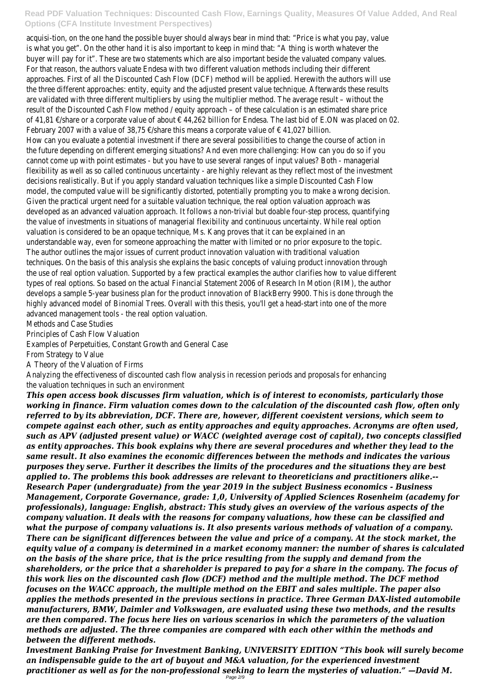acquisi-tion, on the one hand the possible buyer should always bear in mind that: "Price is what you pay, value is what you get". On the other hand it is also important to keep in mind that: "A thing is worth whatever the buyer will pay for it". These are two statements which are also important beside the valuated company values. For that reason, the authors valuate Endesa with two different valuation methods including their different approaches. First of all the Discounted Cash Flow (DCF) method will be applied. Herewith the authors will use the three different approaches: entity, equity and the adjusted present value technique. Afterwards these results are validated with three different multipliers by using the multiplier method. The average result – without the result of the Discounted Cash Flow method / equity approach – of these calculation is an estimated share price of 41,81 €/share or a corporate value of about € 44,262 billion for Endesa. The last bid of E.ON was placed on 02. February 2007 with a value of 38,75 €/share this means a corporate value of  $∈$  41,027 billion. How can you evaluate a potential investment if there are several possibilities to change the course of action in the future depending on different emerging situations? And even more challenging: How can you do so if you cannot come up with point estimates - but you have to use several ranges of input values? Both - managerial flexibility as well as so called continuous uncertainty - are highly relevant as they reflect most of the investment decisions realistically. But if you apply standard valuation techniques like a simple Discounted Cash Flow model, the computed value will be significantly distorted, potentially prompting you to make a wrong decision. Given the practical urgent need for a suitable valuation technique, the real option valuation approach was developed as an advanced valuation approach. It follows a non-trivial but doable four-step process, quantifying the value of investments in situations of managerial flexibility and continuous uncertainty. While real option valuation is considered to be an opaque technique, Ms. Kang proves that it can be explained in an understandable way, even for someone approaching the matter with limited or no prior exposure to the topic. The author outlines the major issues of current product innovation valuation with traditional valuation techniques. On the basis of this analysis she explains the basic concepts of valuing product innovation through the use of real option valuation. Supported by a few practical examples the author clarifies how to value different types of real options. So based on the actual Financial Statement 2006 of Research In Motion (RIM), the author develops a sample 5-year business plan for the product innovation of BlackBerry 9900. This is done through the highly advanced model of Binomial Trees. Overall with this thesis, you'll get a head-start into one of the more advanced management tools - the real option valuation.

Methods and Case Studies

Principles of Cash Flow Valuation

Examples of Perpetuities, Constant Growth and General Case

From Strategy to Value

A Theory of the Valuation of Firms

Analyzing the effectiveness of discounted cash flow analysis in recession periods and proposals for enhancing the valuation techniques in such an environment

*This open access book discusses firm valuation, which is of interest to economists, particularly those working in finance. Firm valuation comes down to the calculation of the discounted cash flow, often only referred to by its abbreviation, DCF. There are, however, different coexistent versions, which seem to compete against each other, such as entity approaches and equity approaches. Acronyms are often used, such as APV (adjusted present value) or WACC (weighted average cost of capital), two concepts classified as entity approaches. This book explains why there are several procedures and whether they lead to the same result. It also examines the economic differences between the methods and indicates the various purposes they serve. Further it describes the limits of the procedures and the situations they are best applied to. The problems this book addresses are relevant to theoreticians and practitioners alike.-- Research Paper (undergraduate) from the year 2019 in the subject Business economics - Business Management, Corporate Governance, grade: 1,0, University of Applied Sciences Rosenheim (academy for professionals), language: English, abstract: This study gives an overview of the various aspects of the company valuation. It deals with the reasons for company valuations, how these can be classified and what the purpose of company valuations is. It also presents various methods of valuation of a company. There can be significant differences between the value and price of a company. At the stock market, the equity value of a company is determined in a market economy manner: the number of shares is calculated on the basis of the share price, that is the price resulting from the supply and demand from the shareholders, or the price that a shareholder is prepared to pay for a share in the company. The focus of this work lies on the discounted cash flow (DCF) method and the multiple method. The DCF method focuses on the WACC approach, the multiple method on the EBIT and sales multiple. The paper also applies the methods presented in the previous sections in practice. Three German DAX-listed automobile manufacturers, BMW, Daimler and Volkswagen, are evaluated using these two methods, and the results are then compared. The focus here lies on various scenarios in which the parameters of the valuation methods are adjusted. The three companies are compared with each other within the methods and between the different methods. Investment Banking Praise for Investment Banking, UNIVERSITY EDITION "This book will surely become an indispensable guide to the art of buyout and M&A valuation, for the experienced investment practitioner as well as for the non-professional seeking to learn the mysteries of valuation." —David M.* Page 2/9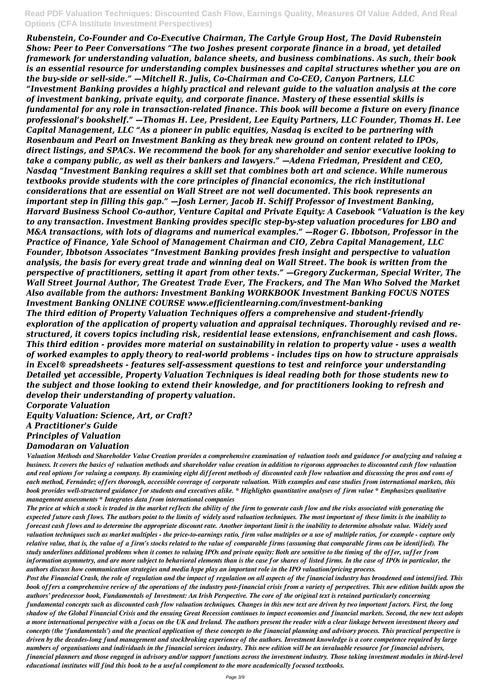*Rubenstein, Co-Founder and Co-Executive Chairman, The Carlyle Group Host, The David Rubenstein Show: Peer to Peer Conversations "The two Joshes present corporate finance in a broad, yet detailed framework for understanding valuation, balance sheets, and business combinations. As such, their book is an essential resource for understanding complex businesses and capital structures whether you are on the buy-side or sell-side." —Mitchell R. Julis, Co-Chairman and Co-CEO, Canyon Partners, LLC "Investment Banking provides a highly practical and relevant guide to the valuation analysis at the core of investment banking, private equity, and corporate finance. Mastery of these essential skills is fundamental for any role in transaction-related finance. This book will become a fixture on every finance professional's bookshelf." —Thomas H. Lee, President, Lee Equity Partners, LLC Founder, Thomas H. Lee Capital Management, LLC "As a pioneer in public equities, Nasdaq is excited to be partnering with Rosenbaum and Pearl on Investment Banking as they break new ground on content related to IPOs, direct listings, and SPACs. We recommend the book for any shareholder and senior executive looking to take a company public, as well as their bankers and lawyers." —Adena Friedman, President and CEO, Nasdaq "Investment Banking requires a skill set that combines both art and science. While numerous textbooks provide students with the core principles of financial economics, the rich institutional considerations that are essential on Wall Street are not well documented. This book represents an important step in filling this gap." —Josh Lerner, Jacob H. Schiff Professor of Investment Banking, Harvard Business School Co-author, Venture Capital and Private Equity: A Casebook "Valuation is the key to any transaction. Investment Banking provides specific step-by-step valuation procedures for LBO and M&A transactions, with lots of diagrams and numerical examples." —Roger G. Ibbotson, Professor in the Practice of Finance, Yale School of Management Chairman and CIO, Zebra Capital Management, LLC Founder, Ibbotson Associates "Investment Banking provides fresh insight and perspective to valuation analysis, the basis for every great trade and winning deal on Wall Street. The book is written from the perspective of practitioners, setting it apart from other texts." —Gregory Zuckerman, Special Writer, The Wall Street Journal Author, The Greatest Trade Ever, The Frackers, and The Man Who Solved the Market Also available from the authors: Investment Banking WORKBOOK Investment Banking FOCUS NOTES Investment Banking ONLINE COURSE www.efficientlearning.com/investment-banking The third edition of Property Valuation Techniques offers a comprehensive and student-friendly exploration of the application of property valuation and appraisal techniques. Thoroughly revised and restructured, it covers topics including risk, residential lease extensions, enfranchisement and cash flows. This third edition - provides more material on sustainability in relation to property value - uses a wealth of worked examples to apply theory to real-world problems - includes tips on how to structure appraisals in Excel® spreadsheets - features self-assessment questions to test and reinforce your understanding Detailed yet accessible, Property Valuation Techniques is ideal reading both for those students new to the subject and those looking to extend their knowledge, and for practitioners looking to refresh and develop their understanding of property valuation.*

*Corporate Valuation*

*Equity Valuation: Science, Art, or Craft?*

*A Practitioner's Guide*

*Principles of Valuation*

### *Damodaran on Valuation*

*Valuation Methods and Shareholder Value Creation provides a comprehensive examination of valuation tools and guidance for analyzing and valuing a business. It covers the basics of valuation methods and shareholder value creation in addition to rigorous approaches to discounted cash flow valuation and real options for valuing a company. By examining eight different methods of discounted cash flow valuation and discussing the pros and cons of each method, Fernández offers thorough, accessible coverage of corporate valuation. With examples and case studies from international markets, this book provides well-structured guidance for students and executives alike. \* Highlights quantitative analyses of firm value \* Emphasizes qualitative management assessments \* Integrates data from international companies*

*The price at which a stock is traded in the market reflects the ability of the firm to generate cash flow and the risks associated with generating the expected future cash flows. The authors point to the limits of widely used valuation techniques. The most important of these limits is the inability to forecast cash flows and to determine the appropriate discount rate. Another important limit is the inability to determine absolute value. Widely used valuation techniques such as market multiples - the price-to-earnings ratio, firm value multiples or a use of multiple ratios, for example - capture only relative value, that is, the value of a firm's stocks related to the value of comparable firms (assuming that comparable firms can be identified). The study underlines additional problems when it comes to valuing IPOs and private equity: Both are sensitive to the timing of the offer, suffer from information asymmetry, and are more subject to behavioral elements than is the case for shares of listed firms. In the case of IPOs in particular, the authors discuss how communication strategies and media hype play an important role in the IPO valuation/pricing process. Post the Financial Crash, the role of regulation and the impact of regulation on all aspects of the financial industry has broadened and intensified. This book offers a comprehensive review of the operations of the industry post-financial crisis from a variety of perspectives. This new edition builds upon the authors' predecessor book, Fundamentals of Investment: An Irish Perspective. The core of the original text is retained particularly concerning fundamental concepts such as discounted cash flow valuation techniques. Changes in this new text are driven by two important factors. First, the long shadow of the Global Financial Crisis and the ensuing Great Recession continues to impact economies and financial markets. Second, the new text adopts a more international perspective with a focus on the UK and Ireland. The authors present the reader with a clear linkage between investment theory and concepts (the 'fundamentals') and the practical application of these concepts to the financial planning and advisory process. This practical perspective is driven by the decades-long fund management and stockbroking experience of the authors. Investment knowledge is a core competence required by large numbers of organisations and individuals in the financial services industry. This new edition will be an invaluable resource for financial advisers, financial planners and those engaged in advisory and/or support functions across the investment industry. Those taking investment modules in third-level educational institutes will find this book to be a useful complement to the more academically focused textbooks.*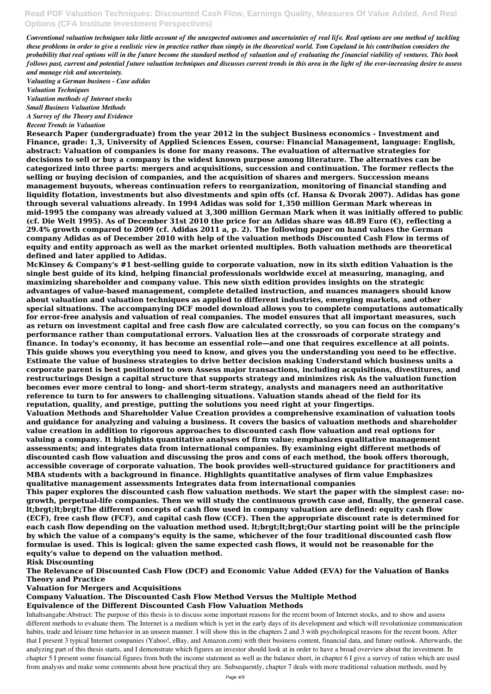*Conventional valuation techniques take little account of the unexpected outcomes and uncertainties of real life. Real options are one method of tackling these problems in order to give a realistic view in practice rather than simply in the theoretical world. Tom Copeland in his contribution considers the probability that real options will in the future become the standard method of valuation and of evaluating the financial viability of ventures. This book follows past, current and potential future valuation techniques and discusses current trends in this area in the light of the ever-increasing desire to assess and manage risk and uncertainty.*

*Valuating a German business - Case adidas*

*Valuation Techniques*

*Valuation methods of Internet stocks*

*Small Business Valuation Methods*

*A Survey of the Theory and Evidence*

*Recent Trends in Valuation*

**Research Paper (undergraduate) from the year 2012 in the subject Business economics - Investment and Finance, grade: 1,3, University of Applied Sciences Essen, course: Financial Management, language: English, abstract: Valuation of companies is done for many reasons. The evaluation of alternative strategies for decisions to sell or buy a company is the widest known purpose among literature. The alternatives can be categorized into three parts: mergers and acquisitions, succession and continuation. The former reflects the selling or buying decision of companies, and the acquisition of shares and mergers. Succession means management buyouts, whereas continuation refers to reorganization, monitoring of financial standing and liquidity flotation, investments but also divestments and spin offs (cf. Hansa & Dvorak 2007). Adidas has gone through several valuations already. In 1994 Adidas was sold for 1,350 million German Mark whereas in mid-1995 the company was already valued at 3,300 million German Mark when it was initially offered to public (cf. Die Welt 1995). As of December 31st 2010 the price for an Adidas share was 48.89 Euro (€), reflecting a 29.4% growth compared to 2009 (cf. Adidas 2011 a, p. 2). The following paper on hand values the German company Adidas as of December 2010 with help of the valuation methods Discounted Cash Flow in terms of equity and entity approach as well as the market oriented multiples. Both valuation methods are theoretical defined and later applied to Adidas.**

**McKinsey & Company's #1 best-selling guide to corporate valuation, now in its sixth edition Valuation is the single best guide of its kind, helping financial professionals worldwide excel at measuring, managing, and maximizing shareholder and company value. This new sixth edition provides insights on the strategic advantages of value-based management, complete detailed instruction, and nuances managers should know about valuation and valuation techniques as applied to different industries, emerging markets, and other special situations. The accompanying DCF model download allows you to complete computations automatically for error-free analysis and valuation of real companies. The model ensures that all important measures, such as return on investment capital and free cash flow are calculated correctly, so you can focus on the company's performance rather than computational errors. Valuation lies at the crossroads of corporate strategy and finance. In today's economy, it has become an essential role—and one that requires excellence at all points. This guide shows you everything you need to know, and gives you the understanding you need to be effective. Estimate the value of business strategies to drive better decision making Understand which business units a corporate parent is best positioned to own Assess major transactions, including acquisitions, divestitures, and restructurings Design a capital structure that supports strategy and minimizes risk As the valuation function becomes ever more central to long- and short-term strategy, analysts and managers need an authoritative reference to turn to for answers to challenging situations. Valuation stands ahead of the field for its reputation, quality, and prestige, putting the solutions you need right at your fingertips.**

**Valuation Methods and Shareholder Value Creation provides a comprehensive examination of valuation tools and guidance for analyzing and valuing a business. It covers the basics of valuation methods and shareholder value creation in addition to rigorous approaches to discounted cash flow valuation and real options for valuing a company. It highlights quantitative analyses of firm value; emphasizes qualitative management assessments; and integrates data from international companies. By examining eight different methods of discounted cash flow valuation and discussing the pros and cons of each method, the book offers thorough, accessible coverage of corporate valuation. The book provides well-structured guidance for practitioners and MBA students with a background in finance. Highlights quantitative analyses of firm value Emphasizes qualitative management assessments Integrates data from international companies**

**This paper explores the discounted cash flow valuation methods. We start the paper with the simplest case: nogrowth, perpetual-life companies. Then we will study the continuous growth case and, finally, the general case. lt;brgt;lt;brgt;The different concepts of cash flow used in company valuation are defined: equity cash flow (ECF), free cash flow (FCF), and capital cash flow (CCF). Then the appropriate discount rate is determined for each cash flow depending on the valuation method used. lt;brgt;lt;brgt;Our starting point will be the principle by which the value of a company's equity is the same, whichever of the four traditional discounted cash flow formulae is used. This is logical: given the same expected cash flows, it would not be reasonable for the equity's value to depend on the valuation method.**

### **Risk Discounting**

**The Relevance of Discounted Cash Flow (DCF) and Economic Value Added (EVA) for the Valuation of Banks Theory and Practice**

### **Valuation for Mergers and Acquisitions**

### **Company Valuation. The Discounted Cash Flow Method Versus the Multiple Method Equivalence of the Different Discounted Cash Flow Valuation Methods**

Inhaltsangabe:Abstract: The purpose of this thesis is to discuss some important reasons for the recent boom of Internet stocks, and to show and assess different methods to evaluate them. The Internet is a medium which is yet in the early days of its development and which will revolutionize communication habits, trade and leisure time behavior in an unseen manner. I will show this in the chapters 2 and 3 with psychological reasons for the recent boom. After that I present 3 typical Internet companies (Yahoo!, eBay, and Amazon.com) with their business content, financial data, and future outlook. Afterwards, the analyzing part of this thesis starts, and I demonstrate which figures an investor should look at in order to have a broad overview about the investment. In chapter 5 I present some financial figures from both the income statement as well as the balance sheet, in chapter 6 I give a survey of ratios which are used from analysts and make some comments about how practical they are. Subsequently, chapter 7 deals with more traditional valuation methods, used by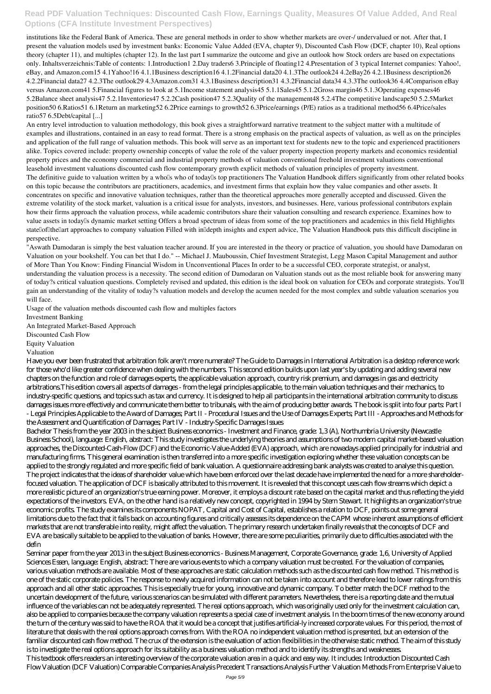institutions like the Federal Bank of America. These are general methods in order to show whether markets are over-/ undervalued or not. After that, I present the valuation models used by investment banks: Economic Value Added (EVA, chapter 9), Discounted Cash Flow (DCF, chapter 10), Real options theory (chapter 11), and multiples (chapter 12). In the last part I summarize the outcome and give an outlook how Stock orders are based on expectations only. Inhaltsverzeichnis:Table of contents: 1.Introduction1 2.Day traders6 3.Principle of floating12 4.Presentation of 3 typical Internet companies: Yahoo!, eBay, and Amazon.com15 4.1Yahoo!16 4.1.1Business description16 4.1.2Financial data20 4.1.3The outlook24 4.2eBay26 4.2.1Business description26 4.2.2Financial data27 4.2.3The outlook29 4.3Amazon.com31 4.3.1Business description31 4.3.2Financial data34 4.3.3The outlook36 4.4Comparison eBay versus Amazon.com41 5.Financial figures to look at 5.1Income statement analysis45 5.1.1Sales45 5.1.2Gross margin46 5.1.3Operating expenses46 5.2Balance sheet analysis47 5.2.1Inventories47 5.2.2Cash position47 5.2.3Quality of the management48 5.2.4The competitive landscape50 5.2.5Market position50 6.Ratios51 6.1Return an marketing52 6.2Price earnings to growth52 6.3Price/earnings (P/E) ratios as a traditional method56 6.4Price/sales ratio57 6.5Debt/capital [...]

The definitive guide to valuation written by a who<sup>ll</sup>s who of today<sup>ll</sup>s top practitioners The Valuation Handbook differs significantly from other related books on this topic because the contributors are practitioners, academics, and investment firms that explain how they value companies and other assets. It concentrates on specific and innovative valuation techniques, rather than the theoretical approaches more generally accepted and discussed. Given the extreme volatility of the stock market, valuation is a critical issue for analysts, investors, and businesses. Here, various professional contributors explain how their firms approach the valuation process, while academic contributors share their valuation consulting and research experience. Examines how to value assets in today<sup>[]</sup>s dynamic market setting Offers a broad spectrum of ideas from some of the top practitioners and academics in this field Highlights statellofllthellart approaches to company valuation Filled with inlidepth insights and expert advice, The Valuation Handbook puts this difficult discipline in perspective.

An entry level introduction to valuation methodology, this book gives a straightforward narrative treatment to the subject matter with a multitude of examples and illustrations, contained in an easy to read format. There is a strong emphasis on the practical aspects of valuation, as well as on the principles and application of the full range of valuation methods. This book will serve as an important text for students new to the topic and experienced practitioners alike. Topics covered include: property ownership concepts of value the role of the valuer property inspection property markets and economics residential property prices and the economy commercial and industrial property methods of valuation conventional freehold investment valuations conventional leasehold investment valuations discounted cash flow contemporary growth explicit methods of valuation principles of property investment.

"Aswath Damodaran is simply the best valuation teacher around. If you are interested in the theory or practice of valuation, you should have Damodaran on Valuation on your bookshelf. You can bet that I do." -- Michael J. Mauboussin, Chief Investment Strategist, Legg Mason Capital Management and author of More Than You Know: Finding Financial Wisdom in Unconventional Places In order to be a successful CEO, corporate strategist, or analyst, understanding the valuation process is a necessity. The second edition of Damodaran on Valuation stands out as the most reliable book for answering many of today?s critical valuation questions. Completely revised and updated, this edition is the ideal book on valuation for CEOs and corporate strategists. You'll gain an understanding of the vitality of today?s valuation models and develop the acumen needed for the most complex and subtle valuation scenarios you will face.

Usage of the valuation methods discounted cash flow and multiples factors

Investment Banking

An Integrated Market-Based Approach

Discounted Cash Flow

Equity Valuation

Valuation

Have you ever been frustrated that arbitration folk aren't more numerate? The Guide to Damages in International Arbitration is a desktop reference work for those who'd like greater confidence when dealing with the numbers. This second edition builds upon last year's by updating and adding several new chapters on the function and role of damages experts, the applicable valuation approach, country risk premium, and damages in gas and electricity arbitrations.This edition covers all aspects of damages - from the legal principles applicable, to the main valuation techniques and their mechanics, to industry-specific questions, and topics such as tax and currency. It is designed to help all participants in the international arbitration community to discuss damages issues more effectively and communicate them better to tribunals, with the aim of producing better awards. The book is split into four parts: Part I - Legal Principles Applicable to the Award of Damages; Part II - Procedural Issues and the Use of Damages Experts; Part III - Approaches and Methods for the Assessment and Quantification of Damages; Part IV - Industry-Specific Damages Issues

Bachelor Thesis from the year 2003 in the subject Business economics - Investment and Finance, grade: 1,3 (A), Northumbria University (Newcastle Business School), language: English, abstract: This study investigates the underlying theories and assumptions of two modern capital market-based valuation approaches, the Discounted-Cash-Flow (DCF) and the Economic-Value-Added (EVA) approach, which are nowadays applied principally for industrial and manufacturing firms. This general examination is then transferred into a more specific investigation exploring whether these valuation concepts can be applied to the strongly regulated and more specific field of bank valuation. A questionnaire addressing bank analysts was created to analyse this question. The project indicates that the ideas of shareholder value which have been enforced over the last decade have implemented the need for a more shareholderfocused valuation. The application of DCF is basically attributed to this movement. It is revealed that this concept uses cash flow streams which depict a more realistic picture of an organization's true earning power. Moreover, it employs a discount rate based on the capital market and thus reflecting the yield expectations of the investors. EVA, on the other hand is a relatively new concept, copyrighted in 1994 by Stern Stewart. It highlights an organization's true economic profits. The study examines its components NOPAT, Capital and Cost of Capital, establishes a relation to DCF, points out some general limitations due to the fact that it falls back on accounting figures and critically assesses its dependence on the CAPM whose inherent assumptions of efficient

markets that are not transferable into reality, might affect the valuation. The primary research undertaken finally reveals that the concepts of DCF and EVA are basically suitable to be applied to the valuation of banks. However, there are some peculiarities, primarily due to difficulties associated with the defin

Seminar paper from the year 2013 in the subject Business economics - Business Management, Corporate Governance, grade: 1,6, University of Applied Sciences Essen, language: English, abstract: There are various events to which a company valuation must be created. For the valuation of companies, various valuation methods are available. Most of these approaches are static calculation methods such as the discounted cash flow method. This method is one of the static corporate policies. The response to newly acquired information can not be taken into account and therefore lead to lower ratings from this approach and all other static approaches. This is especially true for young, innovative and dynamic company. To better match the DCF method to the uncertain development of the future, various scenarios can be simulated with different parameters. Nevertheless, there is a reporting date and the mutual influence of the variables can not be adequately represented. The real options approach, which was originally used only for the investment calculation can, also be applied to companies because the company valuation represents a special case of investment analysis. In the boom times of the new economy around the turn of the century was said to have the ROA that it would be a concept that justifies artificial-ly increased corporate values. For this period, the most of literature that deals with the real options approach comes from. With the ROA no independent valuation method is presented, but an extension of the familiar discounted cash flow method. The crux of the extension is the evaluation of action flexibilities in the otherwise static method. The aim of this study is to investigate the real options approach for its suitability as a business valuation method and to identify its strengths and weaknesses. This textbook offers readers an interesting overview of the corporate valuation area in a quick and easy way. It includes: Introduction Discounted Cash Flow Valuation (DCF Valuation) Comparable Companies Analysis Precedent Transactions Analysis Further Valuation Methods From Enterprise Value to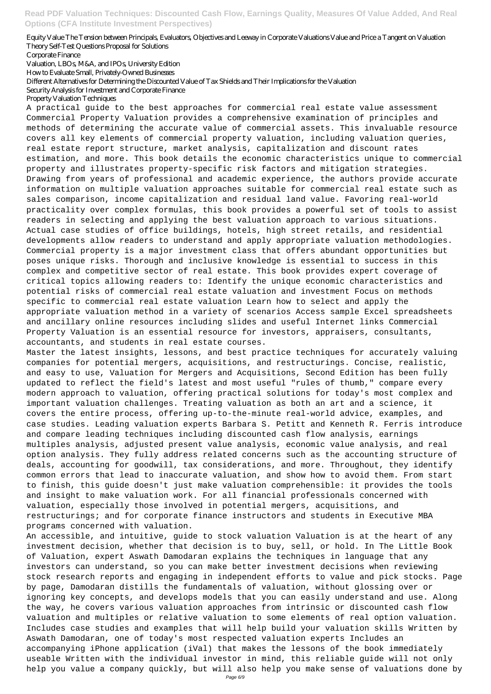#### Equity Value The Tension between Principals, Evaluators, Objectives and Leeway in Corporate Valuations Value and Price a Tangent on Valuation Theory Self-Test Questions Proposal for Solutions

Corporate Finance

Valuation, LBOs, M&A, and IPOs, University Edition

How to Evaluate Small, Privately-Owned Businesses

Different Alternatives for Determining the Discounted Value of Tax Shields and Their Implications for the Valuation

Security Analysis for Investment and Corporate Finance

#### Property Valuation Techniques

A practical guide to the best approaches for commercial real estate value assessment Commercial Property Valuation provides a comprehensive examination of principles and methods of determining the accurate value of commercial assets. This invaluable resource covers all key elements of commercial property valuation, including valuation queries, real estate report structure, market analysis, capitalization and discount rates estimation, and more. This book details the economic characteristics unique to commercial property and illustrates property-specific risk factors and mitigation strategies. Drawing from years of professional and academic experience, the authors provide accurate information on multiple valuation approaches suitable for commercial real estate such as sales comparison, income capitalization and residual land value. Favoring real-world practicality over complex formulas, this book provides a powerful set of tools to assist readers in selecting and applying the best valuation approach to various situations. Actual case studies of office buildings, hotels, high street retails, and residential developments allow readers to understand and apply appropriate valuation methodologies. Commercial property is a major investment class that offers abundant opportunities but poses unique risks. Thorough and inclusive knowledge is essential to success in this complex and competitive sector of real estate. This book provides expert coverage of critical topics allowing readers to: Identify the unique economic characteristics and potential risks of commercial real estate valuation and investment Focus on methods specific to commercial real estate valuation Learn how to select and apply the appropriate valuation method in a variety of scenarios Access sample Excel spreadsheets and ancillary online resources including slides and useful Internet links Commercial Property Valuation is an essential resource for investors, appraisers, consultants, accountants, and students in real estate courses.

Master the latest insights, lessons, and best practice techniques for accurately valuing companies for potential mergers, acquisitions, and restructurings. Concise, realistic, and easy to use, Valuation for Mergers and Acquisitions, Second Edition has been fully updated to reflect the field's latest and most useful "rules of thumb," compare every modern approach to valuation, offering practical solutions for today's most complex and important valuation challenges. Treating valuation as both an art and a science, it covers the entire process, offering up-to-the-minute real-world advice, examples, and case studies. Leading valuation experts Barbara S. Petitt and Kenneth R. Ferris introduce and compare leading techniques including discounted cash flow analysis, earnings multiples analysis, adjusted present value analysis, economic value analysis, and real option analysis. They fully address related concerns such as the accounting structure of deals, accounting for goodwill, tax considerations, and more. Throughout, they identify common errors that lead to inaccurate valuation, and show how to avoid them. From start to finish, this guide doesn't just make valuation comprehensible: it provides the tools and insight to make valuation work. For all financial professionals concerned with valuation, especially those involved in potential mergers, acquisitions, and restructurings; and for corporate finance instructors and students in Executive MBA

#### programs concerned with valuation.

An accessible, and intuitive, guide to stock valuation Valuation is at the heart of any investment decision, whether that decision is to buy, sell, or hold. In The Little Book of Valuation, expert Aswath Damodaran explains the techniques in language that any investors can understand, so you can make better investment decisions when reviewing stock research reports and engaging in independent efforts to value and pick stocks. Page by page, Damodaran distills the fundamentals of valuation, without glossing over or ignoring key concepts, and develops models that you can easily understand and use. Along the way, he covers various valuation approaches from intrinsic or discounted cash flow valuation and multiples or relative valuation to some elements of real option valuation. Includes case studies and examples that will help build your valuation skills Written by Aswath Damodaran, one of today's most respected valuation experts Includes an accompanying iPhone application (iVal) that makes the lessons of the book immediately useable Written with the individual investor in mind, this reliable guide will not only help you value a company quickly, but will also help you make sense of valuations done by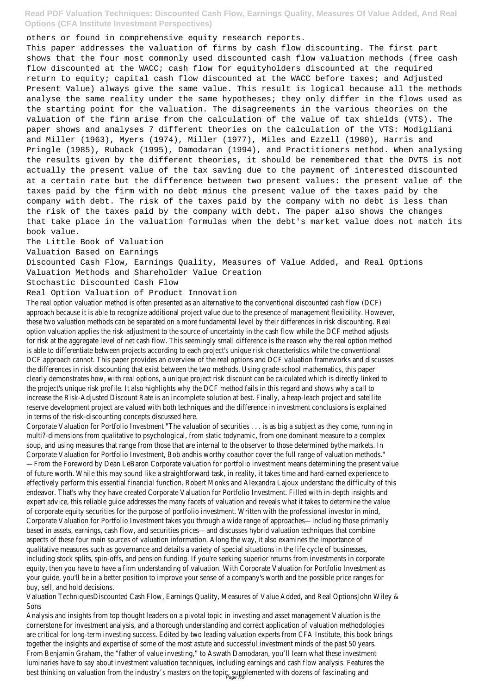others or found in comprehensive equity research reports.

This paper addresses the valuation of firms by cash flow discounting. The first part shows that the four most commonly used discounted cash flow valuation methods (free cash flow discounted at the WACC; cash flow for equityholders discounted at the required return to equity; capital cash flow discounted at the WACC before taxes; and Adjusted Present Value) always give the same value. This result is logical because all the methods analyse the same reality under the same hypotheses; they only differ in the flows used as the starting point for the valuation. The disagreements in the various theories on the valuation of the firm arise from the calculation of the value of tax shields (VTS). The paper shows and analyses 7 different theories on the calculation of the VTS: Modigliani and Miller (1963), Myers (1974), Miller (1977), Miles and Ezzell (1980), Harris and Pringle (1985), Ruback (1995), Damodaran (1994), and Practitioners method. When analysing the results given by the different theories, it should be remembered that the DVTS is not actually the present value of the tax saving due to the payment of interested discounted at a certain rate but the difference between two present values: the present value of the taxes paid by the firm with no debt minus the present value of the taxes paid by the company with debt. The risk of the taxes paid by the company with no debt is less than the risk of the taxes paid by the company with debt. The paper also shows the changes that take place in the valuation formulas when the debt's market value does not match its book value.

Corporate Valuation for Portfolio Investment "The valuation of securities . . . is as big a subject as they come, running in multi?-dimensions from qualitative to psychological, from static todynamic, from one dominant measure to a complex soup, and using measures that range from those that are internal to the observer to those determined bythe markets. In Corporate Valuation for Portfolio Investment, Bob andhis worthy coauthor cover the full range of valuation methods." —From the Foreword by Dean LeBaron Corporate valuation for portfolio investment means determining the present value of future worth. While this may sound like a straightforward task, in reality, it takes time and hard-earned experience to effectively perform this essential financial function. Robert Monks and Alexandra Lajoux understand the difficulty of this endeavor. That's why they have created Corporate Valuation for Portfolio Investment. Filled with in-depth insights and expert advice, this reliable guide addresses the many facets of valuation and reveals what it takes to determine the value of corporate equity securities for the purpose of portfolio investment. Written with the professional investor in mind, Corporate Valuation for Portfolio Investment takes you through a wide range of approaches—including those primarily based in assets, earnings, cash flow, and securities prices—and discusses hybrid valuation techniques that combine aspects of these four main sources of valuation information. Along the way, it also examines the importance of qualitative measures such as governance and details a variety of special situations in the life cycle of businesses, including stock splits, spin-offs, and pension funding. If you're seeking superior returns from investments in corporate equity, then you have to have a firm understanding of valuation. With Corporate Valuation for Portfolio Investment as your guide, you'll be in a better position to improve your sense of a company's worth and the possible price ranges for buy, sell, and hold decisions. Valuation TechniquesDiscounted Cash Flow, Earnings Quality, Measures of Value Added, and Real OptionsJohn Wiley & Sons Analysis and insights from top thought leaders on a pivotal topic in investing and asset management Valuation is the cornerstone for investment analysis, and a thorough understanding and correct application of valuation methodologies are critical for long-term investing success. Edited by two leading valuation experts from CFA Institute, this book brings together the insights and expertise of some of the most astute and successful investment minds of the past 50 years. From Benjamin Graham, the "father of value investing," to Aswath Damodaran, you'll learn what these investment luminaries have to say about investment valuation techniques, including earnings and cash flow analysis. Features the best thinking on valuation from the industry's masters on the topic, supplemented with dozens of fascinating and

The Little Book of Valuation

Valuation Based on Earnings

Discounted Cash Flow, Earnings Quality, Measures of Value Added, and Real Options

Valuation Methods and Shareholder Value Creation

Stochastic Discounted Cash Flow

Real Option Valuation of Product Innovation

The real option valuation method is often presented as an alternative to the conventional discounted cash flow (DCF) approach because it is able to recognize additional project value due to the presence of management flexibility. However, these two valuation methods can be separated on a more fundamental level by their differences in risk discounting. Real option valuation applies the risk-adjustment to the source of uncertainty in the cash flow while the DCF method adjusts for risk at the aggregate level of net cash flow. This seemingly small difference is the reason why the real option method is able to differentiate between projects according to each project's unique risk characteristics while the conventional DCF approach cannot. This paper provides an overview of the real options and DCF valuation frameworks and discusses the differences in risk discounting that exist between the two methods. Using grade-school mathematics, this paper clearly demonstrates how, with real options, a unique project risk discount can be calculated which is directly linked to the project's unique risk profile. It also highlights why the DCF method fails in this regard and shows why a call to increase the Risk-Adjusted Discount Rate is an incomplete solution at best. Finally, a heap-leach project and satellite reserve development project are valued with both techniques and the difference in investment conclusions is explained in terms of the risk-discounting concepts discussed here.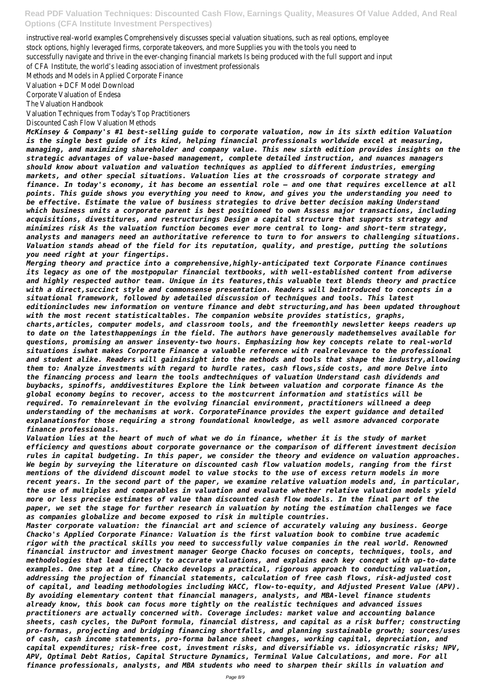instructive real-world examples Comprehensively discusses special valuation situations, such as real options, employee stock options, highly leveraged firms, corporate takeovers, and more Supplies you with the tools you need to successfully navigate and thrive in the ever-changing financial markets Is being produced with the full support and input of CFA Institute, the world's leading association of investment professionals

Methods and Models in Applied Corporate Finance

Valuation + DCF Model Download

Corporate Valuation of Endesa

The Valuation Handbook

Valuation Techniques from Today's Top Practitioners

Discounted Cash Flow Valuation Methods

*McKinsey & Company's #1 best-selling guide to corporate valuation, now in its sixth edition Valuation is the single best guide of its kind, helping financial professionals worldwide excel at measuring, managing, and maximizing shareholder and company value. This new sixth edition provides insights on the strategic advantages of value-based management, complete detailed instruction, and nuances managers should know about valuation and valuation techniques as applied to different industries, emerging markets, and other special situations. Valuation lies at the crossroads of corporate strategy and finance. In today's economy, it has become an essential role — and one that requires excellence at all points. This guide shows you everything you need to know, and gives you the understanding you need to be effective. Estimate the value of business strategies to drive better decision making Understand which business units a corporate parent is best positioned to own Assess major transactions, including acquisitions, divestitures, and restructurings Design a capital structure that supports strategy and minimizes risk As the valuation function becomes ever more central to long- and short-term strategy, analysts and managers need an authoritative reference to turn to for answers to challenging situations. Valuation stands ahead of the field for its reputation, quality, and prestige, putting the solutions you need right at your fingertips.*

*Merging theory and practice into a comprehensive,highly-anticipated text Corporate Finance continues its legacy as one of the mostpopular financial textbooks, with well-established content from adiverse and highly respected author team. Unique in its features,this valuable text blends theory and practice with a direct,succinct style and commonsense presentation. Readers will beintroduced to concepts in a situational framework, followed by adetailed discussion of techniques and tools. This latest editionincludes new information on venture finance and debt structuring,and has been updated throughout with the most recent statisticaltables. The companion website provides statistics, graphs, charts,articles, computer models, and classroom tools, and the freemonthly newsletter keeps readers up to date on the latesthappenings in the field. The authors have generously madethemselves available for questions, promising an answer inseventy-two hours. Emphasizing how key concepts relate to real-world situations iswhat makes Corporate Finance a valuable reference with realrelevance to the professional and student alike. Readers will gaininsight into the methods and tools that shape the industry,allowing them to: Analyze investments with regard to hurdle rates, cash flows,side costs, and more Delve into the financing process and learn the tools andtechniques of valuation Understand cash dividends and buybacks, spinoffs, anddivestitures Explore the link between valuation and corporate finance As the global economy begins to recover, access to the mostcurrent information and statistics will be required. To remainrelevant in the evolving financial environment, practitioners willneed a deep understanding of the mechanisms at work. CorporateFinance provides the expert guidance and detailed explanationsfor those requiring a strong foundational knowledge, as well asmore advanced corporate finance professionals.*

*Valuation lies at the heart of much of what we do in finance, whether it is the study of market efficiency and questions about corporate governance or the comparison of different investment decision rules in capital budgeting. In this paper, we consider the theory and evidence on valuation approaches. We begin by surveying the literature on discounted cash flow valuation models, ranging from the first mentions of the dividend discount model to value stocks to the use of excess return models in more recent years. In the second part of the paper, we examine relative valuation models and, in particular, the use of multiples and comparables in valuation and evaluate whether relative valuation models yield more or less precise estimates of value than discounted cash flow models. In the final part of the paper, we set the stage for further research in valuation by noting the estimation challenges we face as companies globalize and become exposed to risk in multiple countries. Master corporate valuation: the financial art and science of accurately valuing any business. George Chacko's Applied Corporate Finance: Valuation is the first valuation book to combine true academic rigor with the practical skills you need to successfully value companies in the real world. Renowned financial instructor and investment manager George Chacko focuses on concepts, techniques, tools, and methodologies that lead directly to accurate valuations, and explains each key concept with up-to-date examples. One step at a time, Chacko develops a practical, rigorous approach to conducting valuation, addressing the projection of financial statements, calculation of free cash flows, risk-adjusted cost of capital, and leading methodologies including WACC, flow-to-equity, and Adjusted Present Value (APV). By avoiding elementary content that financial managers, analysts, and MBA-level finance students already know, this book can focus more tightly on the realistic techniques and advanced issues practitioners are actually concerned with. Coverage includes: market value and accounting balance sheets, cash cycles, the DuPont formula, financial distress, and capital as a risk buffer; constructing pro-formas, projecting and bridging financing shortfalls, and planning sustainable growth; sources/uses of cash, cash income statements, pro-forma balance sheet changes, working capital, depreciation, and capital expenditures; risk-free cost, investment risks, and diversifiable vs. idiosyncratic risks; NPV, APV, Optimal Debt Ratios, Capital Structure Dynamics, Terminal Value Calculations, and more. For all finance professionals, analysts, and MBA students who need to sharpen their skills in valuation and*